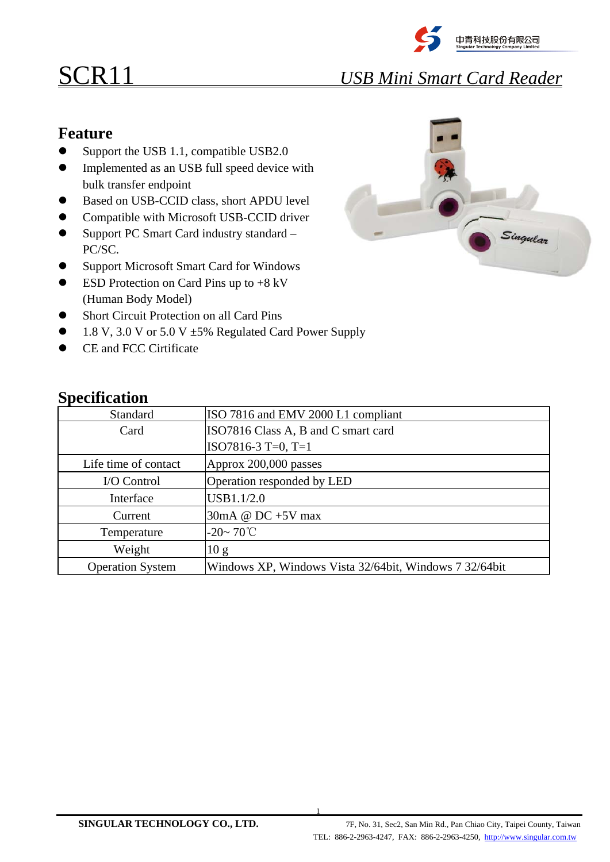

## SCR11 *USB Mini Smart Card Reader*

## **Feature**

- $\bullet$  Support the USB 1.1, compatible USB2.0
- Implemented as an USB full speed device with bulk transfer endpoint
- Based on USB-CCID class, short APDU level
- Compatible with Microsoft USB-CCID driver
- Support PC Smart Card industry standard PC/SC.
- Support Microsoft Smart Card for Windows
- (Human Body Model)  $\bullet$  ESD Protection on Card Pins up to  $+8$  kV
- Short Circuit Protection on all Card Pins
- $\bullet$  1.8 V, 3.0 V or 5.0 V  $\pm$  5% Regulated Card Power Supply
- CE and FCC Cirtificate



| <b>Specification</b> |  |
|----------------------|--|
|                      |  |

| Standard                | ISO 7816 and EMV 2000 L1 compliant                     |
|-------------------------|--------------------------------------------------------|
| Card                    | ISO7816 Class A, B and C smart card                    |
|                         | $ISO7816-3 T=0, T=1$                                   |
| Life time of contact    | Approx 200,000 passes                                  |
| I/O Control             | Operation responded by LED                             |
| Interface               | USB1.1/2.0                                             |
| Current                 | 30mA @ $DC + 5V$ max                                   |
| Temperature             | $-20 \sim 70^{\circ}$ C                                |
| Weight                  | 10 g                                                   |
| <b>Operation System</b> | Windows XP, Windows Vista 32/64bit, Windows 7 32/64bit |

1